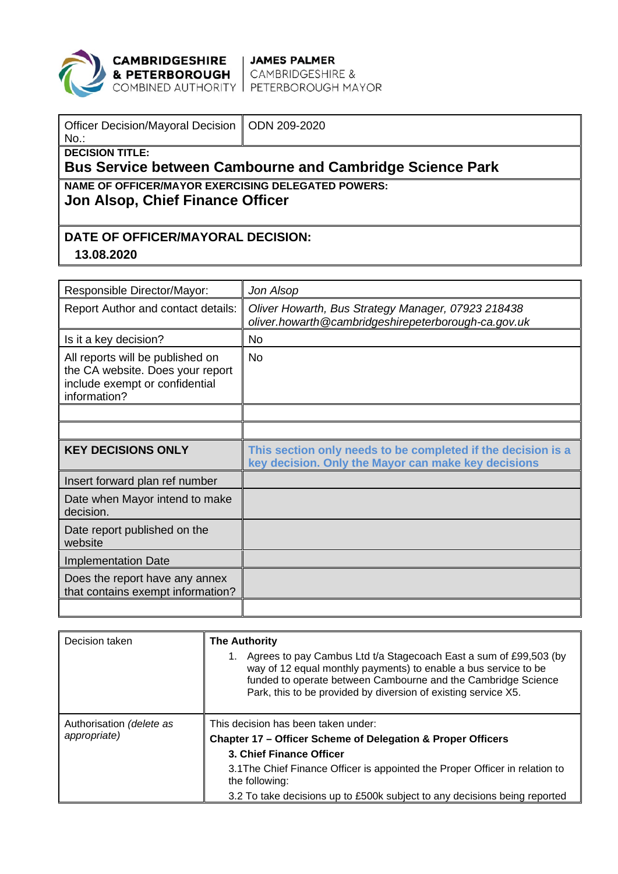

**CAMBRIDGESHIRE** JAMES PALMER<br>**& PETERBOROUGH** CAMBRIDGESHIRE &<br>COMBINED AUTHORITY PETERBOROUGH MAYOR

| Officer Decision/Mayoral Decision   ODN 209-2020<br>$No.$ :     |  |  |  |  |
|-----------------------------------------------------------------|--|--|--|--|
| <b>DECISION TITLE:</b>                                          |  |  |  |  |
| <b>Bus Service between Cambourne and Cambridge Science Park</b> |  |  |  |  |
| NAME OF OFFICER/MAYOR EXERCISING DELEGATED POWERS:              |  |  |  |  |
| Jon Alsop, Chief Finance Officer                                |  |  |  |  |
|                                                                 |  |  |  |  |
|                                                                 |  |  |  |  |
| DATE OF OFFICER/MAYORAL DECISION:                               |  |  |  |  |

## **13.08.2020**

| Responsible Director/Mayor:                                                                                            | Jon Alsop                                                                                                           |
|------------------------------------------------------------------------------------------------------------------------|---------------------------------------------------------------------------------------------------------------------|
| Report Author and contact details:                                                                                     | Oliver Howarth, Bus Strategy Manager, 07923 218438<br>oliver.howarth@cambridgeshirepeterborough-ca.gov.uk           |
| Is it a key decision?                                                                                                  | <b>No</b>                                                                                                           |
| All reports will be published on<br>the CA website. Does your report<br>include exempt or confidential<br>information? | <b>No</b>                                                                                                           |
|                                                                                                                        |                                                                                                                     |
|                                                                                                                        |                                                                                                                     |
| <b>KEY DECISIONS ONLY</b>                                                                                              | This section only needs to be completed if the decision is a<br>key decision. Only the Mayor can make key decisions |
| Insert forward plan ref number                                                                                         |                                                                                                                     |
| Date when Mayor intend to make<br>decision.                                                                            |                                                                                                                     |
| Date report published on the<br>website                                                                                |                                                                                                                     |
| <b>Implementation Date</b>                                                                                             |                                                                                                                     |
| Does the report have any annex<br>that contains exempt information?                                                    |                                                                                                                     |
|                                                                                                                        |                                                                                                                     |

| Decision taken                           | <b>The Authority</b><br>Agrees to pay Cambus Ltd t/a Stagecoach East a sum of £99,503 (by<br>way of 12 equal monthly payments) to enable a bus service to be<br>funded to operate between Cambourne and the Cambridge Science<br>Park, this to be provided by diversion of existing service X5.               |
|------------------------------------------|---------------------------------------------------------------------------------------------------------------------------------------------------------------------------------------------------------------------------------------------------------------------------------------------------------------|
| Authorisation (delete as<br>appropriate) | This decision has been taken under:<br>Chapter 17 – Officer Scheme of Delegation & Proper Officers<br>3. Chief Finance Officer<br>3.1 The Chief Finance Officer is appointed the Proper Officer in relation to<br>the following:<br>3.2 To take decisions up to £500k subject to any decisions being reported |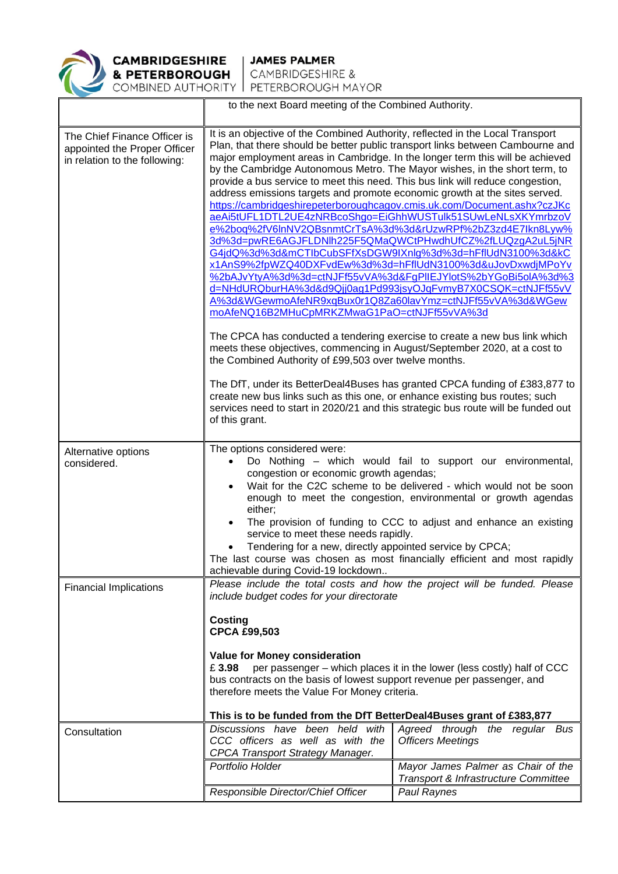

|                                                                                               | to the next Board meeting of the Combined Authority.                                                                                                                                                                                                                                                                                                                                                                                                                                                                                                                                                                                                                                                                                                                                                                                                                                                                                                                                                                                                                                                                                                                                                                                                                                                                                                                                                                                                                                                                                                                                                                                    |                                                                                                  |  |
|-----------------------------------------------------------------------------------------------|-----------------------------------------------------------------------------------------------------------------------------------------------------------------------------------------------------------------------------------------------------------------------------------------------------------------------------------------------------------------------------------------------------------------------------------------------------------------------------------------------------------------------------------------------------------------------------------------------------------------------------------------------------------------------------------------------------------------------------------------------------------------------------------------------------------------------------------------------------------------------------------------------------------------------------------------------------------------------------------------------------------------------------------------------------------------------------------------------------------------------------------------------------------------------------------------------------------------------------------------------------------------------------------------------------------------------------------------------------------------------------------------------------------------------------------------------------------------------------------------------------------------------------------------------------------------------------------------------------------------------------------------|--------------------------------------------------------------------------------------------------|--|
| The Chief Finance Officer is<br>appointed the Proper Officer<br>in relation to the following: | It is an objective of the Combined Authority, reflected in the Local Transport<br>Plan, that there should be better public transport links between Cambourne and<br>major employment areas in Cambridge. In the longer term this will be achieved<br>by the Cambridge Autonomous Metro. The Mayor wishes, in the short term, to<br>provide a bus service to meet this need. This bus link will reduce congestion,<br>address emissions targets and promote economic growth at the sites served.<br>https://cambridgeshirepeterboroughcagov.cmis.uk.com/Document.ashx?czJKc<br>aeAi5tUFL1DTL2UE4zNRBcoShgo=EiGhhWUSTulk51SUwLeNLsXKYmrbzoV<br>e%2boq%2fV6lnNV2QBsnmtCrTsA%3d%3d&rUzwRPf%2bZ3zd4E7lkn8Lyw%<br>3d%3d=pwRE6AGJFLDNIh225F5QMaQWCtPHwdhUfCZ%2fLUQzgA2uL5jNR<br>G4jdQ%3d%3d&mCTlbCubSFfXsDGW9IXnlg%3d%3d=hFflUdN3100%3d&kC<br>x1AnS9%2fpWZQ40DXFvdEw%3d%3d=hFflUdN3100%3d&uJovDxwdjMPoYv<br>%2bAJvYtyA%3d%3d=ctNJFf55vVA%3d&FgPIIEJYlotS%2bYGoBi5olA%3d%3<br>d=NHdURQburHA%3d&d9Qjj0ag1Pd993jsyOJqFvmyB7X0CSQK=ctNJFf55vV<br>A%3d&WGewmoAfeNR9xqBux0r1Q8Za60lavYmz=ctNJFf55vVA%3d&WGew<br>moAfeNQ16B2MHuCpMRKZMwaG1PaO=ctNJFf55vVA%3d<br>The CPCA has conducted a tendering exercise to create a new bus link which<br>meets these objectives, commencing in August/September 2020, at a cost to<br>the Combined Authority of £99,503 over twelve months.<br>The DfT, under its BetterDeal4Buses has granted CPCA funding of £383,877 to<br>create new bus links such as this one, or enhance existing bus routes; such<br>services need to start in 2020/21 and this strategic bus route will be funded out<br>of this grant. |                                                                                                  |  |
| Alternative options<br>considered.                                                            | The options considered were:<br>Do Nothing – which would fail to support our environmental,<br>$\bullet$<br>congestion or economic growth agendas;<br>Wait for the C2C scheme to be delivered - which would not be soon<br>$\bullet$<br>enough to meet the congestion, environmental or growth agendas<br>either;<br>The provision of funding to CCC to adjust and enhance an existing<br>service to meet these needs rapidly.<br>Tendering for a new, directly appointed service by CPCA;<br>The last course was chosen as most financially efficient and most rapidly<br>achievable during Covid-19 lockdown                                                                                                                                                                                                                                                                                                                                                                                                                                                                                                                                                                                                                                                                                                                                                                                                                                                                                                                                                                                                                          |                                                                                                  |  |
| <b>Financial Implications</b>                                                                 | Please include the total costs and how the project will be funded. Please<br>include budget codes for your directorate<br><b>Costing</b><br><b>CPCA £99,503</b><br><b>Value for Money consideration</b><br>£3.98<br>per passenger - which places it in the lower (less costly) half of CCC<br>bus contracts on the basis of lowest support revenue per passenger, and<br>therefore meets the Value For Money criteria.<br>This is to be funded from the DfT BetterDeal4Buses grant of £383,877                                                                                                                                                                                                                                                                                                                                                                                                                                                                                                                                                                                                                                                                                                                                                                                                                                                                                                                                                                                                                                                                                                                                          |                                                                                                  |  |
| Consultation                                                                                  | Discussions have been held with<br>CCC officers as well as with the<br><b>CPCA Transport Strategy Manager.</b><br>Portfolio Holder                                                                                                                                                                                                                                                                                                                                                                                                                                                                                                                                                                                                                                                                                                                                                                                                                                                                                                                                                                                                                                                                                                                                                                                                                                                                                                                                                                                                                                                                                                      | Agreed through the regular Bus<br><b>Officers Meetings</b><br>Mayor James Palmer as Chair of the |  |
|                                                                                               |                                                                                                                                                                                                                                                                                                                                                                                                                                                                                                                                                                                                                                                                                                                                                                                                                                                                                                                                                                                                                                                                                                                                                                                                                                                                                                                                                                                                                                                                                                                                                                                                                                         | Transport & Infrastructure Committee                                                             |  |
|                                                                                               | Responsible Director/Chief Officer                                                                                                                                                                                                                                                                                                                                                                                                                                                                                                                                                                                                                                                                                                                                                                                                                                                                                                                                                                                                                                                                                                                                                                                                                                                                                                                                                                                                                                                                                                                                                                                                      | Paul Raynes                                                                                      |  |